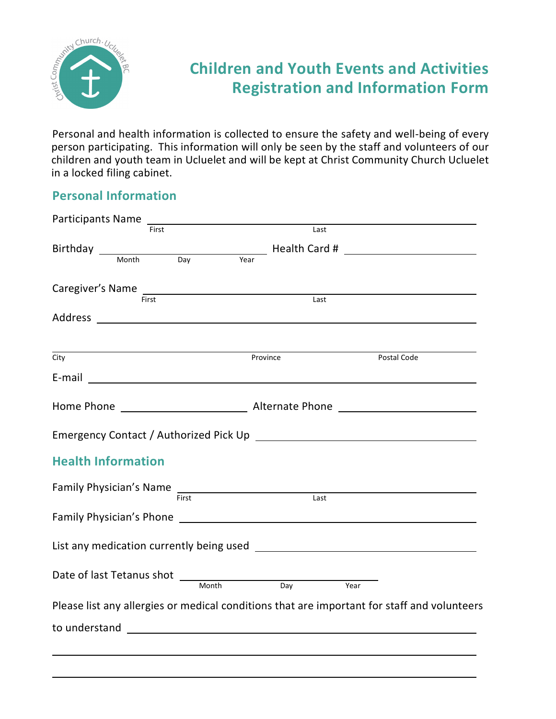

## **Children and Youth Events and Activities Registration and Information Form**

Personal and health information is collected to ensure the safety and well-being of every person participating. This information will only be seen by the staff and volunteers of our children and youth team in Ucluelet and will be kept at Christ Community Church Ucluelet in a locked filing cabinet.

## **Personal Information**

|      |                           | Participants Name                                                                                             |          |                                       |      |             |                                                                                             |
|------|---------------------------|---------------------------------------------------------------------------------------------------------------|----------|---------------------------------------|------|-------------|---------------------------------------------------------------------------------------------|
|      | First                     |                                                                                                               |          |                                       | Last |             |                                                                                             |
|      |                           |                                                                                                               |          | Birthday Month Day Year Health Card # |      |             |                                                                                             |
|      |                           |                                                                                                               |          |                                       |      |             |                                                                                             |
|      |                           | Caregiver's Name                                                                                              |          |                                       |      |             |                                                                                             |
|      | First                     |                                                                                                               |          |                                       | Last |             |                                                                                             |
|      |                           |                                                                                                               |          |                                       |      |             |                                                                                             |
| City |                           |                                                                                                               | Province |                                       |      | Postal Code |                                                                                             |
|      |                           | E-mail <u>_____________________________</u>                                                                   |          |                                       |      |             |                                                                                             |
|      |                           |                                                                                                               |          |                                       |      |             |                                                                                             |
|      |                           |                                                                                                               |          |                                       |      |             |                                                                                             |
|      | <b>Health Information</b> |                                                                                                               |          |                                       |      |             |                                                                                             |
|      |                           | Family Physician's Name First Exercise Contract Cast                                                          |          |                                       |      |             |                                                                                             |
|      |                           | Family Physician's Phone 2008 2009 2012 2022 2023 2024 2022 2023 2024 2022 2023 2024 2022 2023 2024 2022 2023 |          |                                       |      |             |                                                                                             |
|      |                           |                                                                                                               |          |                                       |      |             |                                                                                             |
|      |                           | Month                                                                                                         |          | Day                                   | Year |             |                                                                                             |
|      |                           |                                                                                                               |          |                                       |      |             | Please list any allergies or medical conditions that are important for staff and volunteers |
|      |                           |                                                                                                               |          |                                       |      |             |                                                                                             |
|      |                           |                                                                                                               |          |                                       |      |             |                                                                                             |